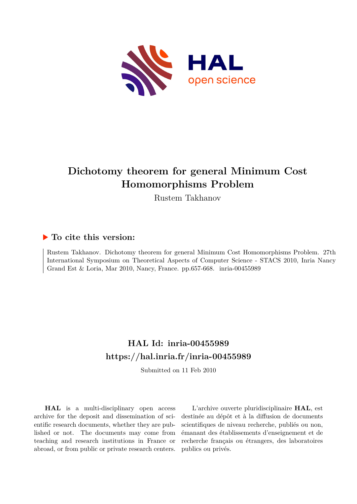

# **Dichotomy theorem for general Minimum Cost Homomorphisms Problem**

Rustem Takhanov

# **To cite this version:**

Rustem Takhanov. Dichotomy theorem for general Minimum Cost Homomorphisms Problem. 27th International Symposium on Theoretical Aspects of Computer Science - STACS 2010, Inria Nancy Grand Est  $& Loria, Mar 2010, Nancy, France. pp.657-668. inria-00455989$ 

# **HAL Id: inria-00455989 <https://hal.inria.fr/inria-00455989>**

Submitted on 11 Feb 2010

**HAL** is a multi-disciplinary open access archive for the deposit and dissemination of scientific research documents, whether they are published or not. The documents may come from teaching and research institutions in France or abroad, or from public or private research centers.

L'archive ouverte pluridisciplinaire **HAL**, est destinée au dépôt et à la diffusion de documents scientifiques de niveau recherche, publiés ou non, émanant des établissements d'enseignement et de recherche français ou étrangers, des laboratoires publics ou privés.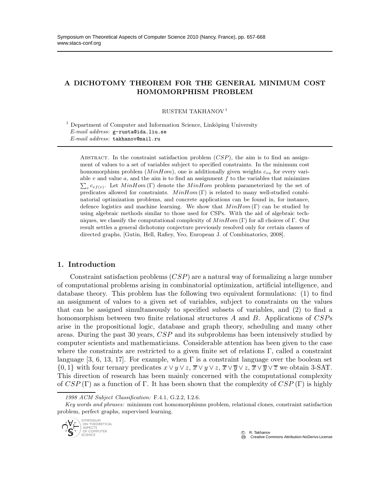## A DICHOTOMY THEOREM FOR THE GENERAL MINIMUM COST HOMOMORPHISM PROBLEM

RUSTEM TAKHANOV<sup>1</sup>

 $1$  Department of Computer and Information Science, Linköping University *E-mail address*: g-rusta@ida.liu.se *E-mail address*: takhanov@mail.ru

ABSTRACT. In the constraint satisfaction problem  $(CSP)$ , the aim is to find an assignment of values to a set of variables subject to specified constraints. In the minimum cost homomorphism problem  $(MinHom)$ , one is additionally given weights  $c_{va}$  for every vari- $\sum_{v} c_{v} f(v)$ . Let  $MinHom(\Gamma)$  denote the  $MinHom$  problem parameterized by the set of able  $v$  and value  $a$ , and the aim is to find an assignment  $f$  to the variables that minimizes predicates allowed for constraints.  $MinHom(\Gamma)$  is related to many well-studied combinatorial optimization problems, and concrete applications can be found in, for instance, defence logistics and machine learning. We show that  $MinHom(\Gamma)$  can be studied by using algebraic methods similar to those used for CSPs. With the aid of algebraic techniques, we classify the computational complexity of  $MinHom(\Gamma)$  for all choices of Γ. Our result settles a general dichotomy conjecture previously resolved only for certain classes of directed graphs, [Gutin, Hell, Rafiey, Yeo, European J. of Combinatorics, 2008].

#### 1. Introduction

Constraint satisfaction problems  $(CSP)$  are a natural way of formalizing a large number of computational problems arising in combinatorial optimization, artificial intelligence, and database theory. This problem has the following two equivalent formulations: (1) to find an assignment of values to a given set of variables, subject to constraints on the values that can be assigned simultaneously to specified subsets of variables, and (2) to find a homomorphism between two finite relational structures  $A$  and  $B$ . Applications of  $CSPs$ arise in the propositional logic, database and graph theory, scheduling and many other areas. During the past 30 years, CSP and its subproblems has been intensively studied by computer scientists and mathematicians. Considerable attention has been given to the case where the constraints are restricted to a given finite set of relations Γ, called a constraint language [3, 6, 13, 17]. For example, when  $\Gamma$  is a constraint language over the boolean set  $\{0,1\}$  with four ternary predicates  $x \vee y \vee z$ ,  $\overline{x} \vee y \vee z$ ,  $\overline{x} \vee \overline{y} \vee z$ ,  $\overline{x} \vee \overline{y} \vee \overline{z}$  we obtain 3-SAT. This direction of research has been mainly concerned with the computational complexity of  $CSP(\Gamma)$  as a function of Γ. It has been shown that the complexity of  $CSP(\Gamma)$  is highly

*Key words and phrases:* minimum cost homomorphisms problem, relational clones, constraint satisfaction problem, perfect graphs, supervised learning.



*<sup>1998</sup> ACM Subject Classification:* F.4.1, G.2.2, I.2.6.

 $\circledcirc$  R. Takhanov **Creative Commons Attribution-NoDerivs License**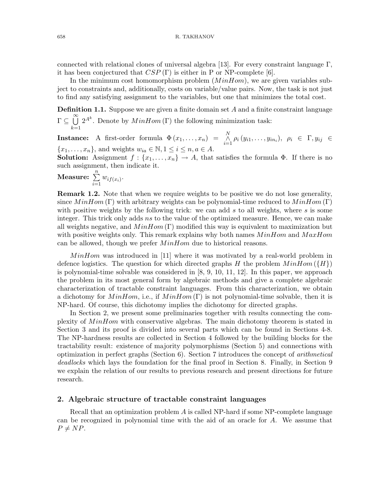connected with relational clones of universal algebra [13]. For every constraint language  $\Gamma$ , it has been conjectured that  $CSP(\Gamma)$  is either in P or NP-complete [6].

In the minimum cost homomorphism problem  $(MinHom)$ , we are given variables subject to constraints and, additionally, costs on variable/value pairs. Now, the task is not just to find any satisfying assignment to the variables, but one that minimizes the total cost.

**Definition 1.1.** Suppose we are given a finite domain set  $A$  and a finite constraint language r ⊆ Ö  $k=1$  $2^{A^k}$ . Denote by  $MinHom(\Gamma)$  the following minimization task:

**Instance:** A first-order formula  $\Phi(x_1,\ldots,x_n) = \bigwedge_{i=1}^N \rho_i(y_{i1},\ldots,y_{in_i}), \rho_i \in \Gamma, y_{ij} \in$  ${x_1, \ldots, x_n}$ , and weights  $w_{ia} \in \mathbb{N}, 1 \le i \le n, a \in A$ .

**Solution:** Assignment  $f: \{x_1, \ldots, x_n\} \to A$ , that satisfies the formula  $\Phi$ . If there is no such assignment, then indicate it.

Measure:  $\sum_{n=1}^{\infty}$  $\sum_{i=1} w_{if(x_i)}$ .

**Remark 1.2.** Note that when we require weights to be positive we do not lose generality, since  $MinHom(\Gamma)$  with arbitrary weights can be polynomial-time reduced to  $MinHom(\Gamma)$ with positive weights by the following trick: we can add  $s$  to all weights, where  $s$  is some integer. This trick only adds ns to the value of the optimized measure. Hence, we can make all weights negative, and  $MinHom(\Gamma)$  modified this way is equivalent to maximization but with positive weights only. This remark explains why both names  $MinHom$  and  $MaxHom$ can be allowed, though we prefer  $MinHom$  due to historical reasons.

MinHom was introduced in [11] where it was motivated by a real-world problem in defence logistics. The question for which directed graphs H the problem  $MinHom({H})$ is polynomial-time solvable was considered in [8, 9, 10, 11, 12]. In this paper, we approach the problem in its most general form by algebraic methods and give a complete algebraic characterization of tractable constraint languages. From this characterization, we obtain a dichotomy for MinHom, i.e., if  $MinHom(\Gamma)$  is not polynomial-time solvable, then it is NP-hard. Of course, this dichotomy implies the dichotomy for directed graphs.

In Section 2, we present some preliminaries together with results connecting the complexity of MinHom with conservative algebras. The main dichotomy theorem is stated in Section 3 and its proof is divided into several parts which can be found in Sections 4-8. The NP-hardness results are collected in Section 4 followed by the building blocks for the tractability result: existence of majority polymorphisms (Section 5) and connections with optimization in perfect graphs (Section 6). Section 7 introduces the concept of arithmetical deadlocks which lays the foundation for the final proof in Section 8. Finally, in Section 9 we explain the relation of our results to previous research and present directions for future research.

#### 2. Algebraic structure of tractable constraint languages

Recall that an optimization problem A is called NP-hard if some NP-complete language can be recognized in polynomial time with the aid of an oracle for A. We assume that  $P \neq NP$ .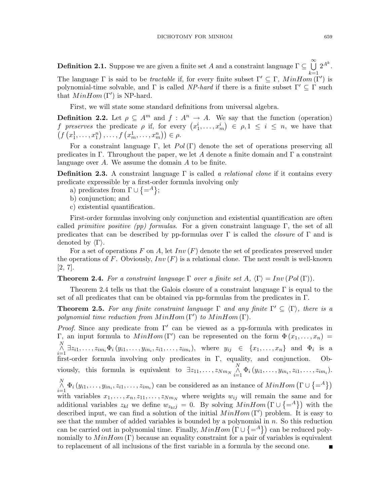**Definition 2.1.** Suppose we are given a finite set  $A$  and a constraint language  $\Gamma \subseteq \bigcup^{\infty} 2^{A^k}$ . The language  $\Gamma$  is said to be *tractable* if, for every finite subset  $\Gamma' \subseteq \Gamma$ ,  $MinHom(\Gamma')$  is polynomial-time solvable, and  $\Gamma$  is called NP-hard if there is a finite subset  $\Gamma' \subseteq \Gamma$  such that  $MinHom(\Gamma')$  is NP-hard.

First, we will state some standard definitions from universal algebra.

**Definition 2.2.** Let  $\rho \subseteq A^m$  and  $f : A^n \to A$ . We say that the function (operation) f preserves the predicate  $\rho$  if, for every  $(x_1^i, \ldots, x_m^i) \in \rho, 1 \le i \le n$ , we have that  $(f(x_1^1, ..., x_1^n), ..., f(x_m^1, ..., x_m^n)) \in \rho.$ 

For a constraint language Γ, let  $Pol(\Gamma)$  denote the set of operations preserving all predicates in Γ. Throughout the paper, we let A denote a finite domain and Γ a constraint language over A. We assume the domain  $A$  to be finite.

**Definition 2.3.** A constraint language  $\Gamma$  is called a relational clone if it contains every predicate expressible by a first-order formula involving only

- a) predicates from  $\Gamma \cup \{-A\};$
- b) conjunction; and
- c) existential quantification.

First-order formulas involving only conjunction and existential quantification are often called *primitive positive (pp) formulas*. For a given constraint language Γ, the set of all predicates that can be described by pp-formulas over  $\Gamma$  is called the *closure* of  $\Gamma$  and is denoted by  $\langle \Gamma \rangle$ .

For a set of operations F on A, let  $Inv(F)$  denote the set of predicates preserved under the operations of F. Obviously,  $Inv(F)$  is a relational clone. The next result is well-known [2, 7].

**Theorem 2.4.** For a constraint language  $\Gamma$  over a finite set  $A$ ,  $\langle \Gamma \rangle = Inv(Pol(\Gamma))$ .

Theorem 2.4 tells us that the Galois closure of a constraint language  $\Gamma$  is equal to the set of all predicates that can be obtained via pp-formulas from the predicates in Γ.

**Theorem 2.5.** For any finite constraint language  $\Gamma$  and any finite  $\Gamma' \subseteq \langle \Gamma \rangle$ , there is a polynomial time reduction from  $MinHom(\Gamma')$  to  $MinHom(\Gamma)$ .

Proof. Since any predicate from  $\Gamma'$  can be viewed as a pp-formula with predicates in Γ, an input formula to  $MinHom(\Gamma')$  can be represented on the form  $\Phi(x_1,...,x_n) =$  $\bigwedge_{i=1}^N \exists z_{i1}, \ldots, z_{im_i} \Phi_i(y_{i1}, \ldots, y_{in_i}, z_{i1}, \ldots, z_{im_i}),$  where  $y_{ij} \in \{x_1, \ldots, x_n\}$  and  $\Phi_i$  is a first-order formula involving only predicates in Γ, equality, and conjunction. Obviously, this formula is equivalent to  $\exists z_{11}, \ldots, z_{Nm_N} \land \atop i=1}^N \Phi_i(y_{i1}, \ldots, y_{in_i}, z_{i1}, \ldots, z_{im_i}).$  $\bigwedge_{i=1}^N \Phi_i(y_{i1},\ldots,y_{in_i},z_{i1},\ldots,z_{im_i})$  can be considered as an instance of  $MinHom\left(\Gamma \cup \{-A\}\right)$ with variables  $x_1, \ldots, x_n, z_{11}, \ldots, z_{Nm_N}$  where weights  $w_{ij}$  will remain the same and for additional variables  $z_{kl}$  we define  $w_{z_{kl}j} = 0$ . By solving  $MinHom(\Gamma \cup \{-4\})$  with the described input, we can find a solution of the initial  $MinHom(\Gamma')$  problem. It is easy to see that the number of added variables is bounded by a polynomial in n. So this reduction can be carried out in polynomial time. Finally,  $MinHom(\Gamma \cup \{-A\})$  can be reduced polynomially to  $MinHom(\Gamma)$  because an equality constraint for a pair of variables is equivalent to replacement of all inclusions of the first variable in a formula by the second one.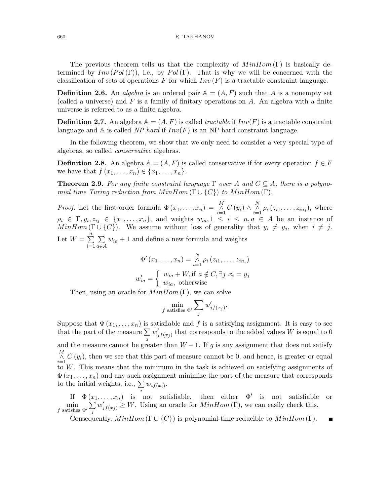The previous theorem tells us that the complexity of  $MinHom(\Gamma)$  is basically determined by  $Inv(Pol(\Gamma))$ , i.e., by Pol(Γ). That is why we will be concerned with the classification of sets of operations F for which  $Inv(F)$  is a tractable constraint language.

**Definition 2.6.** An *algebra* is an ordered pair  $A = (A, F)$  such that A is a nonempty set (called a universe) and  $F$  is a family of finitary operations on  $A$ . An algebra with a finite universe is referred to as a finite algebra.

**Definition 2.7.** An algebra  $\mathbb{A} = (A, F)$  is called tractable if  $Inv(F)$  is a tractable constraint language and  $\mathbb A$  is called NP-hard if  $Inv(F)$  is an NP-hard constraint language.

In the following theorem, we show that we only need to consider a very special type of algebras, so called conservative algebras.

**Definition 2.8.** An algebra  $\mathbb{A} = (A, F)$  is called conservative if for every operation  $f \in F$ we have that  $f(x_1,...,x_n) \in \{x_1,...,x_n\}$ .

**Theorem 2.9.** For any finite constraint language  $\Gamma$  over A and  $C \subseteq A$ , there is a polynomial time Turing reduction from  $MinHom(\Gamma \cup \{C\})$  to  $MinHom(\Gamma)$ .

*Proof.* Let the first-order formula  $\Phi(x_1,\ldots,x_n) = \bigwedge_{i=1}^M C(y_i) \wedge \bigwedge_{i=1}^N \rho_i(z_{i1},\ldots,z_{in_i}),$  where  $\rho_i \in \Gamma, y_i, z_{ij} \in \{x_1, \ldots, x_n\},\$ and weights  $w_{ia}, 1 \leq i \leq n, a \in A$  be an instance of  $MinHom(\Gamma \cup \{C\})$ . We assume without loss of generality that  $y_i \neq y_j$ , when  $i \neq j$ . Let  $W = \sum_{n=1}^{n}$  $i=1$  $\sum$ a∈A  $w_{ia} + 1$  and define a new formula and weights

$$
\Phi'(x_1, \dots, x_n) = \bigwedge_{i=1}^N \rho_i (z_{i1}, \dots, z_{in_i})
$$
  

$$
w'_{ia} = \begin{cases} w_{ia} + W, \text{if } a \notin C, \exists j \ x_i = y_j \\ w_{ia}, \text{ otherwise} \end{cases}
$$

Then, using an oracle for  $MinHom(\Gamma)$ , we can solve

$$
\min_{f \text{ satisfies } \Phi'} \sum_{j} w'_{jf(x_j)}.
$$

Suppose that  $\Phi(x_1,\ldots,x_n)$  is satisfiable and f is a satisfying assignment. It is easy to see that the part of the measure  $\Sigma$ j  $w'_{jf(x_j)}$  that corresponds to the added values W is equal to 0 and the measure cannot be greater than  $W - 1$ . If g is any assignment that does not satisfy  $\bigwedge_{i=1}^{M} C(y_i)$ , then we see that this part of measure cannot be 0, and hence, is greater or equal to W. This means that the minimum in the task is achieved on satisfying assignments of  $\Phi(x_1,\ldots,x_n)$  and any such assignment minimize the part of the measure that corresponds to the initial weights, i.e.,  $\sum w_{if(x_i)}$ .

If  $\Phi(x_1,\ldots,x_n)$  is not satisfiable, then either  $\Phi'$  is not satisfiable or  $\min_{f \text{ satisfies } \Phi'} \sum_{i}$ j  $w'_{j f(x_j)} \geq W$ . Using an oracle for  $MinHom(\Gamma)$ , we can easily check this.

Consequently,  $MinHom(\Gamma \cup \{C\})$  is polynomial-time reducible to  $MinHom(\Gamma)$ .

 $\blacksquare$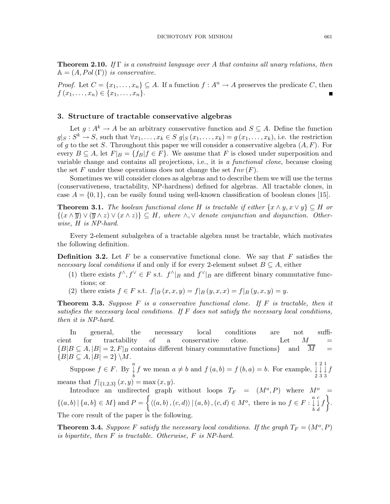**Theorem 2.10.** If  $\Gamma$  is a constraint language over A that contains all unary relations, then  $A = (A, Pol(\Gamma))$  is conservative.

*Proof.* Let  $C = \{x_1, \ldots, x_n\} \subseteq A$ . If a function  $f : A^n \to A$  preserves the predicate C, then  $f(x_1,...,x_n) \in \{x_1,...,x_n\}.$ 

#### 3. Structure of tractable conservative algebras

Let  $g: A^k \to A$  be an arbitrary conservative function and  $S \subseteq A$ . Define the function  $g|_S: S^k \to S$ , such that  $\forall x_1, \ldots, x_k \in S$   $g|_S(x_1, \ldots, x_k) = g(x_1, \ldots, x_k)$ , i.e. the restriction of g to the set S. Throughout this paper we will consider a conservative algebra  $(A, F)$ . For every  $B \subseteq A$ , let  $F|_B = \{f_B | f \in F\}$ . We assume that F is closed under superposition and variable change and contains all projections, i.e., it is a functional clone, because closing the set F under these operations does not change the set  $Inv(F)$ .

Sometimes we will consider clones as algebras and to describe them we will use the terms (conservativeness, tractability, NP-hardness) defined for algebras. All tractable clones, in case  $A = \{0, 1\}$ , can be easily found using well-known classification of boolean clones [15].

**Theorem 3.1.** The boolean functional clone H is tractable if either  $\{x \wedge y, x \vee y\} \subseteq H$  or  $\{(x\wedge \overline{y})\vee (\overline{y}\wedge z)\vee (x\wedge z)\}\subseteq H$ , where  $\wedge,\vee$  denote conjunction and disjunction. Otherwise, H is NP-hard.

Every 2-element subalgebra of a tractable algebra must be tractable, which motivates the following definition.

**Definition 3.2.** Let F be a conservative functional clone. We say that F satisfies the necessary local conditions if and only if for every 2-element subset  $B \subseteq A$ , either

- (1) there exists  $f^{\wedge}, f^{\vee} \in F$  s.t.  $f^{\wedge}|_B$  and  $f^{\vee}|_B$  are different binary commutative functions; or
- (2) there exists  $f \in F$  s.t.  $f|_B(x,x,y) = f|_B(y,x,x) = f|_B(y,x,y) = y$ .

**Theorem 3.3.** Suppose  $F$  is a conservative functional clone. If  $F$  is tractable, then it satisfies the necessary local conditions. If  $F$  does not satisfy the necessary local conditions, then it is NP-hard.

In general, the necessary local conditions are not sufficient for tractability of a conservative clone. Let  $M$  ${B|B \subseteq A, |B| = 2, F|_B \text{ contains different binary commutative functions}}$  and  $\overline{M}$  =  ${B|B \subseteq A, |B| = 2} \ M.$ 

Suppose  $f \in F$ . By  $\downarrow^a$ b f we mean  $a \neq b$  and  $f(a,b) = f(b,a) = b$ . For example,  $\downarrow$ 2 2 ↓ 3 1 ↓ 3 f means that  $f|_{\{1,2,3\}}(x,y) = \max(x,y)$ .

Introduce an undirected graph without loops  $T_F = (M^o, P)$  where  $M^o =$  $\{(a,b) | \{a,b\} \in M\}$  and  $P = \left\{ \langle (a,b), (c,d) \rangle | (a,b), (c,d) \in M^o, \text{ there is no } f \in F : \overset{a}{\downarrow}$ b c ↓ d  $f$ . The core result of the paper is the following.

**Theorem 3.4.** Suppose F satisfy the necessary local conditions. If the graph  $T_F = (M^o, P)$ is bipartite, then F is tractable. Otherwise, F is NP-hard.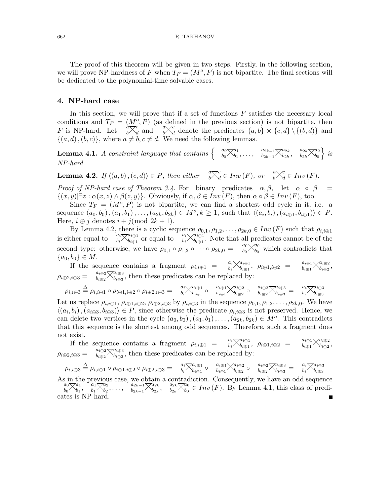The proof of this theorem will be given in two steps. Firstly, in the following section, we will prove NP-hardness of F when  $T_F = (M^o, P)$  is not bipartite. The final sections will be dedicated to the polynomial-time solvable cases.

### 4. NP-hard case

In this section, we will prove that if a set of functions  $F$  satisfies the necessary local conditions and  $T_F = (M^o, P)$  (as defined in the previous section) is not bipartite, then F is NP-hard. Let  $\phi \overline{\times}_d^c$  and  $\phi \overline{\times}_d^c$  denote the predicates  $\{a,b\} \times \{c,d\} \setminus \{(b,d)\}\$  and  $\{(a,d),(b,c)\}\$ , where  $a \neq b, c \neq d$ . We need the following lemmas.

 $\textbf{Lemma 4.1.} \ \textit{A constraint language that contains} \left\{ \begin{array}{c} a_0 \boxtimes a_1 \ b_0 \boxtimes b_1 \end{array} \right.$  $\genfrac{}{}{0pt}{}{a_1}{b_1},\ldots, \quad \genfrac{}{}{0pt}{}{a_{2k-1}}{b_{2k-1}}{\sum_{b_{2k}}}^{\!\!\!a_{2k}}$  $\genfrac{}{}{0pt}{}{a_{2k}}{b_{2k}},\quad \genfrac{}{}{0pt}{}{a_{2k}}{b_{2k}}{\sum_{b_{0}}^{a_{0}}}$  $\begin{array}{c} a_0 \ b_0 \end{array}$  is NP-hard.

**Lemma 4.2.** If  $\langle (a,b), (c,d) \rangle \in P$ , then either  $\int_{a}^{a} \sum_{d}^{c} \in Inv(F)$ , or  $\int_{b}^{a} \times_{d}^{c} \in Inv(F)$ .

Proof of NP-hard case of Theorem 3.4. For binary predicates  $\alpha, \beta$ , let  $\alpha \circ \beta =$  $\{(x,y)|\exists z : \alpha(x,z) \wedge \beta(z,y)\}\.$  Obviously, if  $\alpha, \beta \in Inv(F)$ , then  $\alpha \circ \beta \in Inv(F)$ , too.

Since  $T_F = (M^o, P)$  is not bipartite, we can find a shortest odd cycle in it, i.e. a sequence  $(a_0, b_0), (a_1, b_1), \ldots, (a_{2k}, b_{2k}) \in M^o, k \ge 1$ , such that  $\langle (a_i, b_i), (a_{i \oplus 1}, b_{i \oplus 1}) \rangle \in P$ . Here,  $i \oplus j$  denotes  $i + j$ (mod  $2k + 1$ ).

By Lemma 4.2, there is a cyclic sequence  $\rho_{0,1}, \rho_{1,2}, \ldots, \rho_{2k,0} \in Inv(F)$  such that  $\rho_{i,i\oplus 1}$ is either equal to  $a_i \overline{\times}_{b_i \oplus 1}^{a_i \oplus 1}$  $\begin{array}{c} a_{i\oplus 1}\b_{i\oplus 1} \end{array}$  or equal to  $\begin{array}{c} a_i\searrow a_{i\oplus 1}\b_{i\oplus 1} \end{array}$  $b_{i\oplus 1}$ . Note that all predicates cannot be of the second type: otherwise, we have  $\rho_{0,1} \circ \rho_{1,2} \circ \cdots \circ \rho_{2k,0} = \begin{bmatrix} a_0 \searrow^{a_0} b_0 \ s_0 \end{bmatrix}$  which contradicts that  ${a_0, b_0} \in M$ .

If the sequence contains a fragment  $\rho_{i,i\oplus 1}$  =  $\alpha_i \times_{b_i \oplus 1}^{a_i \oplus 1}$  $\begin{array}{rcl} a_{i\oplus1},\ \ a_{i\oplus1},i\oplus2&=&a_{i\oplus1}\raisebox{-1.4pt}{$\displaystyle\bigtimes$} a_{i\oplus2},\ b_{i\oplus1},i\oplus2&=&b_{i\oplus1}\raisebox{-1.4pt}{$\displaystyle\bigtimes$} a_{i\oplus2}. \end{array}$  $\frac{a_{i\oplus 2}}{b_{i\oplus 2}},$  $\rho_{i\oplus 2,i\oplus 3} =$  $\begin{matrix} a_{i\oplus 2}\gtrsim^{a_{i\oplus 3}}\ b_{i\oplus 2} \end{matrix}$  $b_{i\oplus 3}^{u_{i\oplus 3}}$ , then these predicates can be replaced by:

$$
\rho_{i,i\oplus 3}\stackrel{\Delta}{=}\rho_{i,i\oplus 1}\circ \rho_{i\oplus 1,i\oplus 2}\circ \rho_{i\oplus 2,i\oplus 3}=\quad \ \ \overset{a_i}{_{b_i}}\times^{a_{i\oplus 1}}_{b_{i\oplus 1}}\circ\quad \ \ \overset{a_{i\oplus 1}}{_{b_{i\oplus 1}}}\times^{a_{i\oplus 2}}_{b_{i\oplus 2}}\circ\quad \ \ \overset{a_i}{_{b_i\oplus 2}}\times^{a_{i\oplus 3}}_{b_{i\oplus 3}}=\quad \ \ \overset{a_i}{_{b_i}}\times^{a_{i\oplus 3}}_{b_{i\oplus 3}}
$$

Let us replace  $\rho_{i,i\oplus 1}, \rho_{i\oplus 1,i\oplus 2}, \rho_{i\oplus 2,i\oplus 3}$  by  $\rho_{i,i\oplus 3}$  in the sequence  $\rho_{0,1}, \rho_{1,2}, \ldots, \rho_{2k,0}$ . We have  $\langle (a_i, b_i), (a_{i \oplus 3}, b_{i \oplus 3}) \rangle \in P$ , since otherwise the predicate  $\rho_{i,i \oplus 3}$  is not preserved. Hence, we can delete two vertices in the cycle  $(a_0, b_0), (a_1, b_1), \ldots, (a_{2k}, b_{2k}) \in M^o$ . This contradicts that this sequence is the shortest among odd sequences. Therefore, such a fragment does not exist.

If the sequence contains a fragment  $\rho_{i,i\oplus 1} = \begin{array}{cc} a_i \nabla a_{i\oplus 1} & \nabla a_{i\oplus 1} & \nabla a_{i\oplus 1} & \nabla a_{i\oplus 1} & \nabla a_{i\oplus 1} & \nabla a_{i\oplus 1} & \nabla a_{i\oplus 1} & \nabla a_{i\oplus 1} & \nabla a_{i\oplus 1} & \nabla a_{i\oplus 1} & \nabla a_{i\oplus 1} & \nabla a_{i\opl$  $\theta_{i\oplus 1}^{a_{i\oplus 1}},\;\; \rho_{i\oplus 1,i\oplus 2}\;\;=\;\;$  $\alpha_{i\oplus1}\times_{b_{i\oplus2}}^{a_{i\oplus2}}$  $\frac{a_{i\oplus 2}}{b_{i\oplus 2}},$  $\rho_{i\oplus 2,i\oplus 3} =$  $\frac{a_{i\oplus 2}}{b_{i\oplus 3}}\overline{\times}_{b_{i\oplus 3}}^{a_{i\oplus 3}}$  $b_{i\oplus 3}^{u_{i\oplus 3}}$ , then these predicates can be replaced by:

$$
\rho_{i,i\oplus 3} \stackrel{\Delta}{=} \rho_{i,i\oplus 1} \circ \rho_{i\oplus 1,i\oplus 2} \circ \rho_{i\oplus 2,i\oplus 3} = \begin{array}{c} a_i \overline{\chi}_{a_{i\oplus 1}}^{a_{i\oplus 1}} \circ \begin{array}{c} a_{i\oplus 1} \overline{\chi}_{a_{i\oplus 2}}^{a_{i\oplus 2}} \circ \begin{array}{c} a_{i\oplus 2} \overline{\chi}_{a_{i\oplus 3}}^{a_{i\oplus 3}} \end{array} = \begin{array}{c} a_i \overline{\chi}_{a_{i\oplus 3}}^{a_{i\oplus 3}} \end{array} \end{array}
$$

As in the previous case, we obtain a contradiction. Consequently, we have an odd sequence  $\begin{array}{c}\na_0 \searrow_{a_1}^{a_1} \\
b_0 \nearrow_{b_1}^{a_1}, \quad b_1 \nearrow_{b_2}^{a_2}, \ldots, \quad b_{2k-1} \nearrow_{b_{2k}}^{a_{2k}}\n\end{array}$ ,  $\begin{array}{c}\na_{2k} \searrow_{a_0} \\
b_{2k} \nearrow_{b_0$  $\begin{array}{cc} a_1 \ b_1 \end{array}, \begin{array}{cc} a_1 \boxtimes a_2 \ b_1 \end{array}$  $\genfrac{}{}{0pt}{}{a_2}{b_2},\ldots,\genfrac{}{}{0pt}{}{a_{2k-1}}{b_{2k-1}}{\sum_{k=1}^{a_{2k}}}$  $\begin{array}{ccc} a_{2k} & a_{2k} \ \hline b_{2k} & b_{2k} \end{array}$  $b_0^{u_0} \in Inv(F)$ . By Lemma 4.1, this class of predicates is NP-hard. $\blacksquare$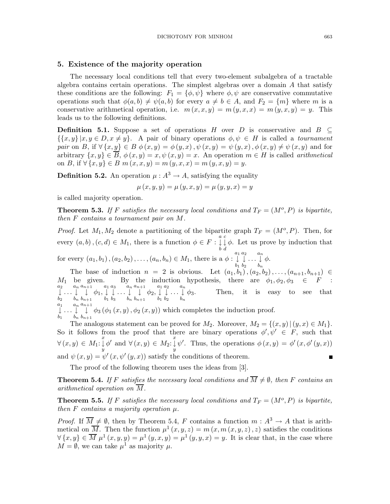#### 5. Existence of the majority operation

The necessary local conditions tell that every two-element subalgebra of a tractable algebra contains certain operations. The simplest algebras over a domain  $A$  that satisfy these conditions are the following:  $F_1 = \{\phi, \psi\}$  where  $\phi, \psi$  are conservative commutative operations such that  $\phi(a,b) \neq \psi(a,b)$  for every  $a \neq b \in A$ , and  $F_2 = \{m\}$  where m is a conservative arithmetical operation, i.e.  $m(x, x, y) = m(y, x, x) = m(y, x, y) = y$ . This leads us to the following definitions.

**Definition 5.1.** Suppose a set of operations H over D is conservative and B  $\subset$  $\{x,y\} | x,y \in D, x \neq y\}.$  A pair of binary operations  $\phi, \psi \in H$  is called a *tournament* pair on B, if  $\forall \{x,y\} \in B \phi(x,y) = \phi(y,x), \psi(x,y) = \psi(y,x), \phi(x,y) \neq \psi(x,y)$  and for arbitrary  $\{x,y\} \in \overline{B}$ ,  $\phi(x,y) = x, \psi(x,y) = x$ . An operation  $m \in H$  is called *arithmetical* on B, if  $\forall \{x, y\} \in B \ m(x, x, y) = m(y, x, x) = m(y, x, y) = y.$ 

**Definition 5.2.** An operation  $\mu : A^3 \to A$ , satisfying the equality

$$
\mu(x, y, y) = \mu(y, x, y) = \mu(y, y, x) = y
$$

is called majority operation.

**Theorem 5.3.** If F satisfies the necessary local conditions and  $T_F = (M^o, P)$  is bipartite, then F contains a tournament pair on M.

*Proof.* Let  $M_1, M_2$  denote a partitioning of the bipartite graph  $T_F = (M^o, P)$ . Then, for every  $(a, b), (c, d) \in M_1$ , there is a function  $\phi \in F : \mathring{\downarrow}$ b c ↓ d  $\phi$ . Let us prove by induction that

for every  $(a_1, b_1), (a_2, b_2), \ldots, (a_n, b_n) \in M_1$ , there is a  $\phi : \downarrow^{a_1}$  $b_1$  $a_2$  $b<sub>2</sub>$  $\ldots \downarrow^{a_n}$  $_{b_n}$ φ.

The base of induction  $n = 2$  is obvious. Let  $(a_1, b_1), (a_2, b_2), \ldots, (a_{n+1}, b_{n+1}) \in$  $M_1$  be given. By the induction hypothesis, there are  $\phi_1, \phi_2, \phi_3 \in F$  :<br>  $\downarrow \dots \downarrow \downarrow \phi_1, \downarrow \downarrow \dots \downarrow \downarrow \phi_2, \downarrow \downarrow \dots \downarrow \phi_3$ . Then, it is easy to see that  $b_2$  $\ldots \downarrow^{a_n}$  $_{b_n}$  $a_{n+1}$ ↓  $b_{n+1}$  $\phi_1, \overset{a_1}{\downarrow}$  $b_1$  $a_3$  $b_3$  $\ldots \downarrow^{a_n}$  $_{b_n}$  $a_{n+1}$ ↓  $b_{n+1}$  $\phi_2, \overset{a_1}{\downarrow}$  $b_1$  $a_2$  $b_2$  $\ldots \downarrow^{a_n}$  $_{b_n}$  $\phi_3$ . Then, it is easy to see that  $\begin{array}{c} a_1 \\ \downarrow \end{array}$  ...  $\begin{array}{c} a_n \\ \downarrow \end{array}$  $a_{n+1}$ 

$$
\downarrow \ldots \downarrow \quad \downarrow \quad \phi_3 \left( \phi_1 \left( x, y \right), \phi_2 \left( x, y \right) \right)
$$
 which completes the induction proof.

The analogous statement can be proved for  $M_2$ . Moreover,  $M_2 = \{(x,y) | (y,x) \in M_1\}.$ So it follows from the proof that there are binary operations  $\phi', \psi' \in F$ , such that  $\forall (x, y) \in M_1$ :  $\bigvee^x_{y} \phi'$  and  $\forall (x, y) \in M_2$ :  $\bigvee^x_{y} \psi'$ . Thus, the operations  $\phi(x, y) = \phi'(x, \phi'(y, x))$ and  $\psi(x, y) = \psi'(x, \psi'(y, x))$  satisfy the conditions of theorem.  $\blacksquare$ 

The proof of the following theorem uses the ideas from [3].

**Theorem 5.4.** If F satisfies the necessary local conditions and  $\overline{M} \neq \emptyset$ , then F contains an arithmetical operation on  $\overline{M}$ .

**Theorem 5.5.** If F satisfies the necessary local conditions and  $T_F = (M^o, P)$  is bipartite, then  $F$  contains a majority operation  $\mu$ .

*Proof.* If  $\overline{M} \neq \emptyset$ , then by Theorem 5.4, F contains a function  $m : A^3 \to A$  that is arithmetical on  $\overline{M}$ . Then the function  $\mu^1(x,y,z) = m(x,m(x,y,z),z)$  satisfies the conditions  $\forall \{x,y\} \in \overline{M}$   $\mu^1(x,y,y) = \mu^1(y,x,y) = \mu^1(y,y,x) = y$ . It is clear that, in the case where  $M = \emptyset$ , we can take  $\mu^1$  as majority  $\mu$ .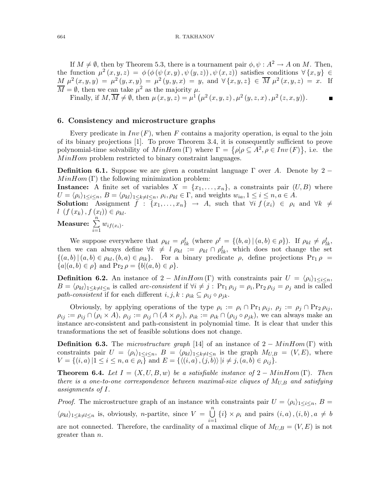If  $M \neq \emptyset$ , then by Theorem 5.3, there is a tournament pair  $\phi, \psi : A^2 \to A$  on M. Then, the function  $\mu^2(x,y,z) = \phi(\phi(\psi(x,y),\psi(y,z)),\psi(x,z))$  satisfies conditions  $\forall \{x,y\} \in$  $M \mu^{2}(x,y,y) = \mu^{2}(y,x,y) = \mu^{2}(y,y,x) = y$ , and  $\forall \{x,y,z\} \in \overline{M} \mu^{2}(x,y,z) = x$ . If  $\overline{M} = \emptyset$ , then we can take  $\mu^2$  as the majority  $\mu$ .

Finally, if  $M, \overline{M} \neq \emptyset$ , then  $\mu(x, y, z) = \mu^1(\mu^2(x, y, z), \mu^2(y, z, x), \mu^2(z, x, y)).$ 

#### 6. Consistency and microstructure graphs

Every predicate in  $Inv(F)$ , when F contains a majority operation, is equal to the join of its binary projections [1]. To prove Theorem 3.4, it is consequently sufficient to prove polynomial-time solvability of  $MinHom(\Gamma)$  where  $\Gamma = {\rho | \rho \subseteq A^2, \rho \in Inv(F) }$ , i.e. the MinHom problem restricted to binary constraint languages.

**Definition 6.1.** Suppose we are given a constraint language  $\Gamma$  over A. Denote by 2 −  $MinHom(\Gamma)$  the following minimization problem:

**Instance:** A finite set of variables  $X = \{x_1, \ldots, x_n\}$ , a constraints pair  $(U, B)$  where  $U = \langle \rho_i \rangle_{1 \leq i \leq n}, B = \langle \rho_{kl} \rangle_{1 \leq k \neq l \leq n}, \rho_i, \rho_{kl} \in \Gamma$ , and weights  $w_{ia}, 1 \leq i \leq n, a \in A$ .

**Solution:** Assignment  $f : \{x_1, \ldots, x_n\} \rightarrow A$ , such that  $\forall i \ f(x_i) \in \rho_i$  and  $\forall k \neq$  $l\left(f(x_k),f(x_l)\right) \in \rho_{kl}.$ 

**Measure:** 
$$
\sum_{i=1}^{n} w_{if(x_i)}.
$$

We suppose everywhere that  $\rho_{kl} = \rho_{lk}^t$  (where  $\rho^t = \{(b, a) | (a, b) \in \rho\}$ ). If  $\rho_{kl} \neq \rho_{lk}^t$ , then we can always define  $\forall k \neq l \rho_{kl} := \rho_{kl} \cap \rho_{lk}^t$ , which does not change the set  ${(a,b) | (a,b) \in \rho_{kl}, (b,a) \in \rho_{lk}}.$  For a binary predicate  $\rho$ , define projections Pr<sub>1</sub>  $\rho$  =  ${a|(a,b) \in \rho}$  and  $\Pr_2 \rho = {b|(a,b) \in \rho}$ .

**Definition 6.2.** An instance of 2 – MinHom (Γ) with constraints pair  $U = \langle \rho_i \rangle_{1 \leq i \leq n}$ ,  $B = \langle \rho_{kl} \rangle_{1 \leq k \neq l \leq n}$  is called *arc-consistent* if  $\forall i \neq j$  :  $\Pr_1 \rho_{ij} = \rho_i, \Pr_2 \rho_{ij} = \rho_j$  and is called path-consistent if for each different  $i, j, k : \rho_{ik} \subseteq \rho_{ij} \circ \rho_{jk}$ .

Obviously, by applying operations of the type  $\rho_i := \rho_i \cap \Pr_1 \rho_{ij}, \ \rho_j := \rho_j \cap \Pr_2 \rho_{ij},$  $\rho_{ij} := \rho_{ij} \cap (\rho_i \times A), \ \rho_{ij} := \rho_{ij} \cap (A \times \rho_j), \ \rho_{ik} := \rho_{ik} \cap (\rho_{ij} \circ \rho_{jk}),$  we can always make an instance arc-consistent and path-consistent in polynomial time. It is clear that under this transformations the set of feasible solutions does not change.

**Definition 6.3.** The microstructure graph [14] of an instance of  $2 - MinHom(\Gamma)$  with constraints pair  $U = \langle \rho_i \rangle_{1 \leq i \leq n}$ ,  $B = \langle \rho_{kl} \rangle_{1 \leq k \neq l \leq n}$  is the graph  $M_{U,B} = (V,E)$ , where  $V = \{(i, a) | 1 \le i \le n, a \in \rho_i\}$  and  $E = \{\langle (i, a), (j, b) \rangle | i \ne j, (a, b) \in \rho_{ij}\}.$ 

**Theorem 6.4.** Let  $I = (X, U, B, w)$  be a satisfiable instance of  $2 - MinHom(\Gamma)$ . Then there is a one-to-one correspondence between maximal-size cliques of  $M_{U,B}$  and satisfying assignments of I.

*Proof.* The microstructure graph of an instance with constraints pair  $U = \langle \rho_i \rangle_{1 \leq i \leq n}$ ,  $B =$  $\langle \rho_{kl} \rangle_{1 \leq k \neq l \leq n}$  is, obviously, *n*-partite, since  $V = \bigcup_{l=1}^{n}$  $i=1$  $\{i\} \times \rho_i$  and pairs  $(i, a)$ ,  $(i, b)$ ,  $a \neq b$ are not connected. Therefore, the cardinality of a maximal clique of  $M_{U,B} = (V, E)$  is not greater than n.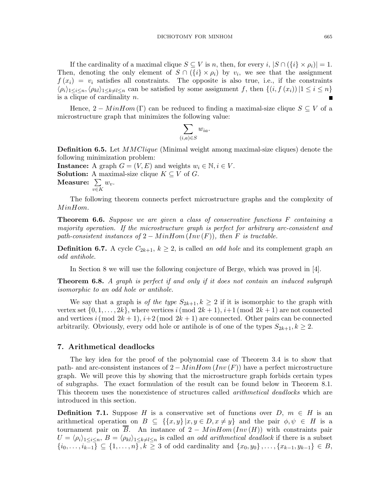If the cardinality of a maximal clique  $S \subseteq V$  is n, then, for every i,  $|S \cap (\{i\} \times \rho_i)| = 1$ . Then, denoting the only element of  $S \cap (\{i\} \times \rho_i)$  by  $v_i$ , we see that the assignment  $f(x_i) = v_i$  satisfies all constraints. The opposite is also true, i.e., if the constraints  $\langle \rho_i \rangle_{1 \leq i \leq n}, \langle \rho_k \rangle_{1 \leq k \neq l \leq n}$  can be satisfied by some assignment f, then  $\{(i,f(x_i))|1 \leq i \leq n\}$ is a clique of cardinality  $n$ .

Hence,  $2 - MinHom(\Gamma)$  can be reduced to finding a maximal-size clique  $S \subseteq V$  of a microstructure graph that minimizes the following value:

$$
\sum_{(i,a)\in S} w_{ia}.
$$

**Definition 6.5.** Let *MMClique* (Minimal weight among maximal-size cliques) denote the following minimization problem:

**Instance:** A graph  $G = (V, E)$  and weights  $w_i \in \mathbb{N}, i \in V$ . **Solution:** A maximal-size clique  $K \subseteq V$  of G. Measure:  $\sum$  $w_{v}$ .

v∈K

The following theorem connects perfect microstructure graphs and the complexity of MinHom.

**Theorem 6.6.** Suppose we are given a class of conservative functions  $F$  containing a majority operation. If the microstructure graph is perfect for arbitrary arc-consistent and path-consistent instances of  $2 - MinHom(Inv(F))$ , then F is tractable.

**Definition 6.7.** A cycle  $C_{2k+1}$ ,  $k \geq 2$ , is called an odd hole and its complement graph an odd antihole.

In Section 8 we will use the following conjecture of Berge, which was proved in [4].

**Theorem 6.8.** A graph is perfect if and only if it does not contain an induced subgraph isomorphic to an odd hole or antihole.

We say that a graph is of the type  $S_{2k+1}, k \geq 2$  if it is isomorphic to the graph with vertex set  $\{0, 1, \ldots, 2k\}$ , where vertices i(mod  $2k + 1$ ),  $i+1$ (mod  $2k + 1$ ) are not connected and vertices i (mod  $2k + 1$ ),  $i+2 \pmod{2k+1}$  are connected. Other pairs can be connected arbitrarily. Obviously, every odd hole or antihole is of one of the types  $S_{2k+1}, k \geq 2$ .

#### 7. Arithmetical deadlocks

The key idea for the proof of the polynomial case of Theorem 3.4 is to show that path- and arc-consistent instances of  $2 - MinHom(Inv(F))$  have a perfect microstructure graph. We will prove this by showing that the microstructure graph forbids certain types of subgraphs. The exact formulation of the result can be found below in Theorem 8.1. This theorem uses the nonexistence of structures called *arithmetical deadlocks* which are introduced in this section.

**Definition 7.1.** Suppose H is a conservative set of functions over  $D, m \in H$  is an arithmetical operation on  $B \subseteq \{ \{x,y\} | x,y \in D, x \neq y \}$  and the pair  $\phi, \psi \in H$  is a tournament pair on  $\overline{B}$ . An instance of 2 – MinHom (Inv (H)) with constraints pair  $U = \langle \rho_i \rangle_{1 \leq i \leq n}, B = \langle \rho_{kl} \rangle_{1 \leq k \neq l \leq n}$  is called an odd arithmetical deadlock if there is a subset  ${i_0, \ldots, i_{k-1}} \subseteq \{1, \ldots, n\}, k \geq 3$  of odd cardinality and  $\{x_0, y_0\}, \ldots, \{x_{k-1}, y_{k-1}\} \in B$ ,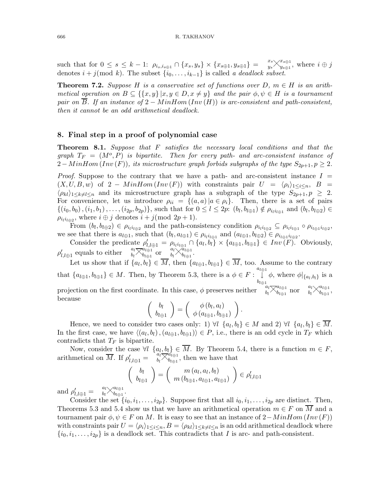such that for  $0 \le s \le k - 1$ :  $\rho_{i_s, i_{s \oplus 1}} \cap \{x_s, y_s\} \times \{x_{s \oplus 1}, y_{s \oplus 1}\} = \begin{cases} x_s \searrow^{x_{s \oplus 1}} \\ y_s \searrow^{x_{s \oplus 1}} \end{cases}$  $\frac{x_{s\oplus 1}}{y_{s\oplus 1}},$  where  $i\oplus j$ denotes  $i + j \pmod{k}$ . The subset  $\{i_0, \ldots, i_{k-1}\}$  is called a deadlock subset.

**Theorem 7.2.** Suppose H is a conservative set of functions over D,  $m \in H$  is an arithmetical operation on  $B \subseteq \{ \{x,y\} | x,y \in D, x \neq y \}$  and the pair  $\phi, \psi \in H$  is a tournament pair on  $\overline{B}$ . If an instance of 2 – MinHom (Inv (H)) is arc-consistent and path-consistent, then it cannot be an odd arithmetical deadlock.

### 8. Final step in a proof of polynomial case

**Theorem 8.1.** Suppose that  $F$  satisfies the necessary local conditions and that the graph  $T_F = (M^o, P)$  is bipartite. Then for every path- and arc-consistent instance of  $2-MinHom(Inv(F)),$  its microstructure graph forbids subgraphs of the type  $S_{2p+1}, p \geq 2$ .

*Proof.* Suppose to the contrary that we have a path- and arc-consistent instance  $I =$  $(X, U, B, w)$  of 2 – MinHom  $(Inv(F))$  with constraints pair  $U = \langle \rho_i \rangle_{1 \leq i \leq n}$ ,  $B =$  $\langle \rho_{kl} \rangle_{1 \leq k \neq l \leq n}$  and its microstructure graph has a subgraph of the type  $S_{2p+1}, p \geq 2$ . For convenience, let us introduce  $\rho_{ii} = \{(a,a) | a \in \rho_i\}$ . Then, there is a set of pairs  $\{(i_0,b_0), (i_1,b_1), \ldots, (i_{2p},b_{2p})\}\$ , such that for  $0 \leq l \leq 2p$ :  $(b_l, b_{l \oplus 1}) \notin \rho_{i_l i_{l \oplus 1}}$  and  $(b_l, b_{l \oplus 2}) \in$  $\rho_{i_l i_{l \oplus 2}}$ , where  $i \oplus j$  denotes  $i + j \pmod{2p+1}$ .

From  $(b_l, b_{l \oplus 2}) \in \rho_{i_l i_{l \oplus 2}}$  and the path-consistency condition  $\rho_{i_l i_{l \oplus 2}} \subseteq \rho_{i_l i_{l \oplus 1}} \circ \rho_{i_{l \oplus 1} i_{l \oplus 2}}$ , we see that there is  $a_{l \oplus 1}$ , such that  $(b_l, a_{l \oplus 1}) \in \rho_{i_l i_{l \oplus 1}}$  and  $(a_{l \oplus 1}, b_{l \oplus 2}) \in \rho_{i_{l \oplus 1} i_{l \oplus 2}}$ .

Consider the predicate  $\rho'_{l,l\oplus 1} = \rho_{i_l i_{l\oplus 1}} \cap \{a_l, b_l\} \times \{a_{l\oplus 1}, b_{l\oplus 1}\} \in Inv(F)$ . Obviously,  $\rho'_{l,l\oplus 1}$  equals to either  $a_l \nabla_{b_l\oplus 1}^{a_l \nabla_{a_l\oplus 1}}$  $\begin{array}{cc} a_l \oplus 1 \\ b_l \oplus 1 \end{array}$  or  $\begin{array}{cc} a_l \times a_{l \oplus 1} \\ b_l \times b_{l \oplus 1} \end{array}$  $\frac{a_{l \oplus 1}}{b_{l \oplus 1}}$ .

Let us show that if  $\{a_l, b_l\} \in M$ , then  $\{a_{l \oplus 1}, b_{l \oplus 1}\} \in M$ , too. Assume to the contrary that  $\{a_{l\oplus 1},b_{l\oplus 1}\}\in M$ . Then, by Theorem 5.3, there is a  $\phi\in F$ :  $a_{l\oplus 1}$ ↓  $\downarrow \phi$ , where  $\phi|_{\{a_l, b_l\}}$  is a projection on the first coordinate. In this case,  $\phi$  preserves neither  $\begin{bmatrix} a_l \ \mathcal{A}_{l \oplus 1} \\ b_l \end{bmatrix}$  $\begin{array}{cc} a_l \oplus 1 \\ b_l \oplus 1 \end{array}$  nor  $\begin{array}{cc} a_l \searrow a_{l \oplus 1} \\ b_l \searrow b_{l \oplus 1} \end{array}$  $\frac{a_{l\oplus 1}}{b_{l\oplus 1}},$ because .

$$
\left(\begin{array}{c}b_l\\b_{l\oplus1}\end{array}\right)=\left(\begin{array}{c}\phi\left(b_l,a_l\right)\\\phi\left(a_{l\oplus1},b_{l\oplus1}\right)\end{array}\right)
$$

Hence, we need to consider two cases only: 1)  $\forall l \ \{a_l, b_l\} \in M$  and 2)  $\forall l \ \{a_l, b_l\} \in M$ . In the first case, we have  $\langle (a_l, b_l), (a_{l \oplus 1}, b_{l \oplus 1}) \rangle \in P$ , i.e., there is an odd cycle in  $T_F$  which contradicts that  $T_F$  is bipartite.

Now, consider the case  $\forall l \ \{a_l, b_l\} \in M$ . By Theorem 5.4, there is a function  $m \in F$ , arithmetical on  $\overline{M}$ . If  $\rho'_{l,l \oplus 1} = \begin{bmatrix} a_l^* \overline{\times} a_{l \oplus 1}^* \\ b_l \overline{\times} b_{l \oplus 1}^* \end{bmatrix}$  $\theta_{t\oplus 1}^{u_{t\oplus 1}}$ , then we have that

$$
\left(\begin{array}{c}b_l\\b_{l\oplus1}\end{array}\right)=\left(\begin{array}{c}m\left(a_l,a_l,b_l\right)\\m\left(b_{l\oplus1},a_{l\oplus1},a_{l\oplus1}\right)\end{array}\right)\in\rho'_{l,l\oplus1}
$$

and  $\rho'_{l,l\oplus1} = a_l \times a_{l\oplus1} a_{l\oplus1}$  $\frac{a_{l \oplus 1}}{b_{l \oplus 1}}$ .

Consider the set  $\{i_0,i_1,\ldots,i_{2p}\}$ . Suppose first that all  $i_0,i_1,\ldots,i_{2p}$  are distinct. Then, Theorems 5.3 and 5.4 show us that we have an arithmetical operation  $m \in F$  on M and a tournament pair  $\phi, \psi \in F$  on M. It is easy to see that an instance of  $2-MinHom(Inv(F))$ with constraints pair  $U = \langle \rho_i \rangle_{1 \leq i \leq n}, B = \langle \rho_k \rangle_{1 \leq k \neq l \leq n}$  is an odd arithmetical deadlock where  $\{i_0,i_1,\ldots,i_{2p}\}\$ is a deadlock set. This contradicts that I is arc- and path-consistent.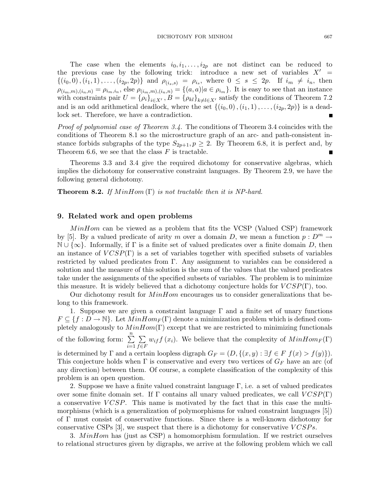The case when the elements  $i_0, i_1, \ldots, i_{2p}$  are not distinct can be reduced to the previous case by the following trick: introduce a new set of variables  $X' =$  $\{(i_0,0),(i_1,1),\ldots,(i_{2p},2p)\}\$ and  $\rho_{(i_s,s)} = \rho_{i_s}$ , where  $0 \leq s \leq 2p$ . If  $i_m \neq i_n$ , then  $\rho_{(i_m,m),(i_n,n)} = \rho_{i_m,i_n}$ , else  $\rho_{(i_m,m),(i_n,n)} = \{(a,a)|a \in \rho_{i_m}\}$ . It is easy to see that an instance with constraints pair  $U = {\rho_i}_{i \in X'}$ ,  $B = {\rho_{kl}}_{k \neq l \in X'}$  satisfy the conditions of Theorem 7.2 and is an odd arithmetical deadlock, where the set  $\{(i_0, 0), (i_1, 1), \ldots, (i_{2p}, 2p)\}\$ is a deadlock set. Therefore, we have a contradiction.

Proof of polynomial case of Theorem 3.4. The conditions of Theorem 3.4 coincides with the conditions of Theorem 8.1 so the microstructure graph of an arc- and path-consistent instance forbids subgraphs of the type  $S_{2p+1}, p \geq 2$ . By Theorem 6.8, it is perfect and, by Theorem 6.6, we see that the class  $F$  is tractable.

Theorems 3.3 and 3.4 give the required dichotomy for conservative algebras, which implies the dichotomy for conservative constraint languages. By Theorem 2.9, we have the following general dichotomy.

**Theorem 8.2.** If  $MinHom(\Gamma)$  is not tractable then it is NP-hard.

#### 9. Related work and open problems

MinHom can be viewed as a problem that fits the VCSP (Valued CSP) framework by [5]. By a valued predicate of arity m over a domain D, we mean a function  $p: D^m \to$  $\mathbb{N} \cup \{\infty\}$ . Informally, if  $\Gamma$  is a finite set of valued predicates over a finite domain D, then an instance of  $VCSP(\Gamma)$  is a set of variables together with specified subsets of variables restricted by valued predicates from Γ. Any assignment to variables can be considered a solution and the measure of this solution is the sum of the values that the valued predicates take under the assignments of the specified subsets of variables. The problem is to minimize this measure. It is widely believed that a dichotomy conjecture holds for  $VCSP(\Gamma)$ , too.

Our dichotomy result for  $MinHom$  encourages us to consider generalizations that belong to this framework.

1. Suppose we are given a constraint language  $\Gamma$  and a finite set of unary functions  $F \subseteq \{f : D \to \mathbb{N}\}\.$  Let  $MinHom_F(\Gamma)$  denote a minimization problem which is defined completely analogously to  $MinHom(\Gamma)$  except that we are restricted to minimizing functionals of the following form:  $\sum_{n=1}^{\infty}$  $i=1$  $\sum$  $f \in F$  $w_{if} f(x_i)$ . We believe that the complexity of  $MinHom_F(\Gamma)$ is determined by  $\Gamma$  and a certain loopless digraph  $G_F = (D, \{(x, y) : \exists f \in F | f(x) > f(y)\}).$ This conjecture holds when  $\Gamma$  is conservative and every two vertices of  $G_F$  have an arc (of any direction) between them. Of course, a complete classification of the complexity of this problem is an open question.

2. Suppose we have a finite valued constraint language  $\Gamma$ , i.e. a set of valued predicates over some finite domain set. If  $\Gamma$  contains all unary valued predicates, we call  $VCSP(\Gamma)$ a conservative  $VCSP$ . This name is motivated by the fact that in this case the multimorphisms (which is a generalization of polymorphisms for valued constraint languages [5]) of Γ must consist of conservative functions. Since there is a well-known dichotomy for conservative CSPs  $[3]$ , we suspect that there is a dichotomy for conservative  $VCSPs$ .

3.  $MinHom$  has (just as CSP) a homomorphism formulation. If we restrict ourselves to relational structures given by digraphs, we arrive at the following problem which we call